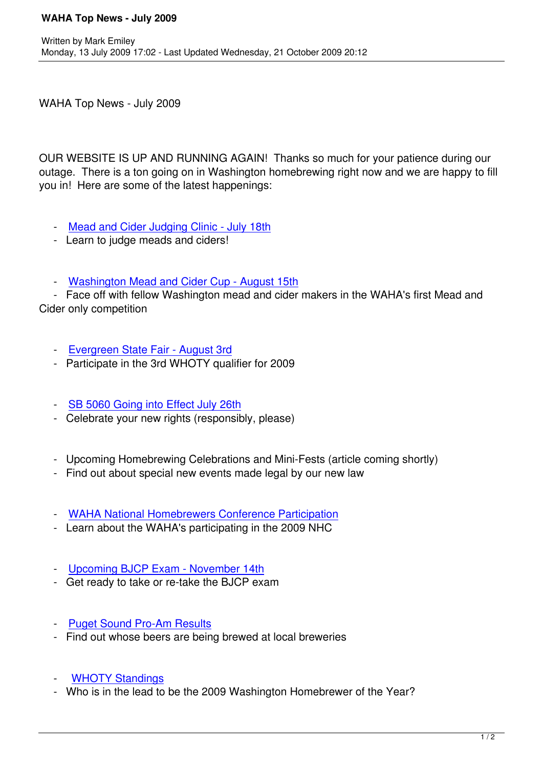WAHA Top News - July 2009

OUR WEBSITE IS UP AND RUNNING AGAIN! Thanks so much for your patience during our outage. There is a ton going on in Washington homebrewing right now and we are happy to fill you in! Here are some of the latest happenings:

- Mead and Cider Judging Clinic July 18th
- Learn to judge meads and ciders!
- [Washington Mead and Cider Cup Augus](index.php?option=com_content&task=view&id=134&Itemid=81)t 15th

 - Face off with fellow Washington mead and cider makers in the WAHA's first Mead and Cider only competition

- Evergreen State Fair August 3rd
- Participate in the 3rd WHOTY qualifier for 2009
- [SB 5060 Going into Effect July 26](index.php?option=com_content&task=view&id=230&Itemid=81)th
- Celebrate your new rights (responsibly, please)
- [Upcoming Homebrewing Celebration](index.php?option=com_content&task=view&id=227&Itemid=81)s and Mini-Fests (article coming shortly)
- Find out about special new events made legal by our new law
- WAHA National Homebrewers Conference Participation
- Learn about the WAHA's participating in the 2009 NHC
- [Upcoming BJCP Exam November 14th](index.php?option=com_content&task=view&id=228&Itemid=106)
- Get ready to take or re-take the BJCP exam
- [Puget Sound Pro-Am Results](index.php?option=com_content&task=view&id=232&Itemid=81)
- Find out whose beers are being brewed at local breweries
- **WHOTY Standings**
- Who is in the lead to be the 2009 Washington Homebrewer of the Year?